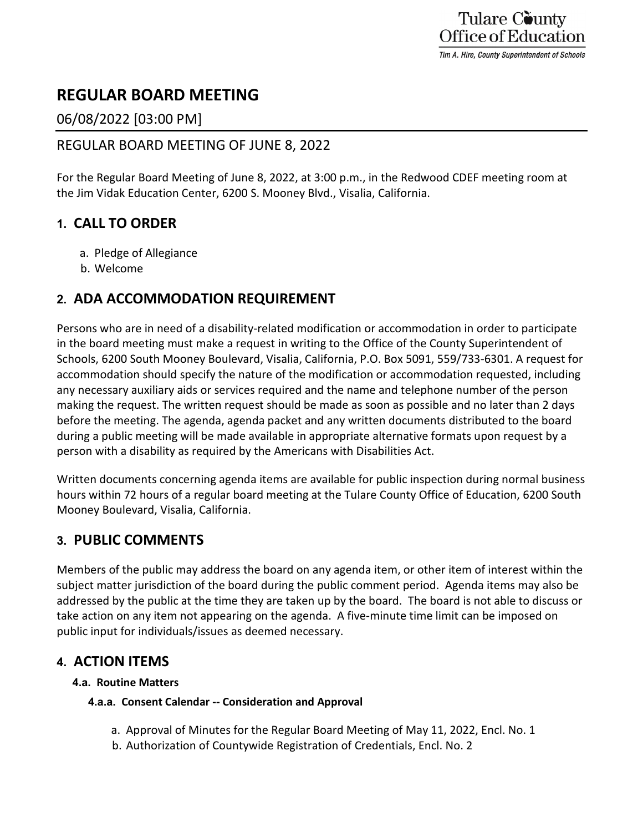# **REGULAR BOARD MEETING**

## 06/08/2022 [03:00 PM]

### REGULAR BOARD MEETING OF JUNE 8, 2022

For the Regular Board Meeting of June 8, 2022, at 3:00 p.m., in the Redwood CDEF meeting room at the Jim Vidak Education Center, 6200 S. Mooney Blvd., Visalia, California.

## **1. CALL TO ORDER**

- a. Pledge of Allegiance
- b. Welcome

## **2. ADA ACCOMMODATION REQUIREMENT**

Persons who are in need of a disability-related modification or accommodation in order to participate in the board meeting must make a request in writing to the Office of the County Superintendent of Schools, 6200 South Mooney Boulevard, Visalia, California, P.O. Box 5091, 559/733-6301. A request for accommodation should specify the nature of the modification or accommodation requested, including any necessary auxiliary aids or services required and the name and telephone number of the person making the request. The written request should be made as soon as possible and no later than 2 days before the meeting. The agenda, agenda packet and any written documents distributed to the board during a public meeting will be made available in appropriate alternative formats upon request by a person with a disability as required by the Americans with Disabilities Act.

Written documents concerning agenda items are available for public inspection during normal business hours within 72 hours of a regular board meeting at the Tulare County Office of Education, 6200 South Mooney Boulevard, Visalia, California.

## **3. PUBLIC COMMENTS**

Members of the public may address the board on any agenda item, or other item of interest within the subject matter jurisdiction of the board during the public comment period. Agenda items may also be addressed by the public at the time they are taken up by the board. The board is not able to discuss or take action on any item not appearing on the agenda. A five-minute time limit can be imposed on public input for individuals/issues as deemed necessary.

## **4. ACTION ITEMS**

### **4.a. Routine Matters**

### **4.a.a. Consent Calendar -- Consideration and Approval**

- a. Approval of Minutes for the Regular Board Meeting of May 11, 2022, Encl. No. 1
- b. Authorization of Countywide Registration of Credentials, Encl. No. 2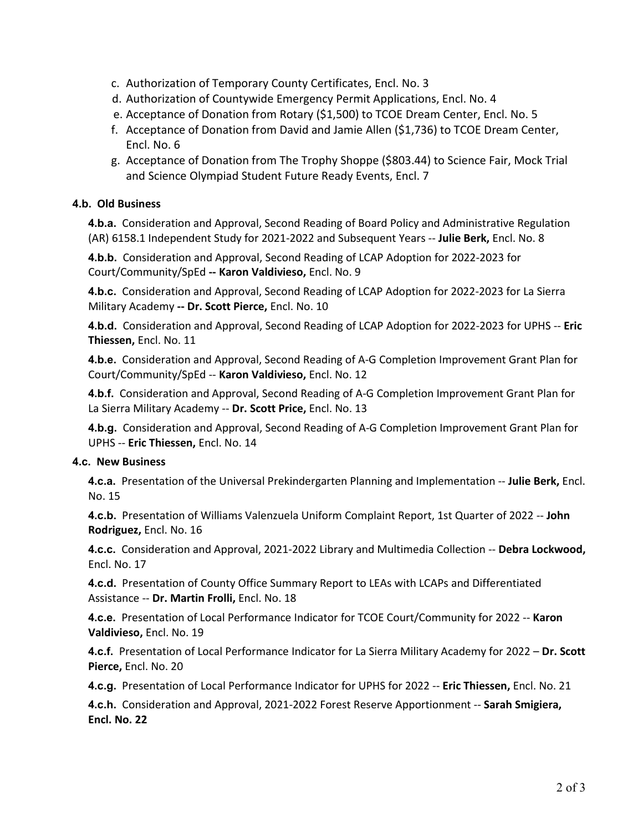- c. Authorization of Temporary County Certificates, Encl. No. 3
- d. Authorization of Countywide Emergency Permit Applications, Encl. No. 4
- e. Acceptance of Donation from Rotary (\$1,500) to TCOE Dream Center, Encl. No. 5
- f. Acceptance of Donation from David and Jamie Allen (\$1,736) to TCOE Dream Center, Encl. No. 6
- g. Acceptance of Donation from The Trophy Shoppe (\$803.44) to Science Fair, Mock Trial and Science Olympiad Student Future Ready Events, Encl. 7

#### **4.b. Old Business**

**4.b.a.** Consideration and Approval, Second Reading of Board Policy and Administrative Regulation (AR) 6158.1 Independent Study for 2021-2022 and Subsequent Years -- **Julie Berk,** Encl. No. 8

**4.b.b.** Consideration and Approval, Second Reading of LCAP Adoption for 2022-2023 for Court/Community/SpEd **-- Karon Valdivieso,** Encl. No. 9

**4.b.c.** Consideration and Approval, Second Reading of LCAP Adoption for 2022-2023 for La Sierra Military Academy **-- Dr. Scott Pierce,** Encl. No. 10

**4.b.d.** Consideration and Approval, Second Reading of LCAP Adoption for 2022-2023 for UPHS -- **Eric Thiessen,** Encl. No. 11

**4.b.e.** Consideration and Approval, Second Reading of A-G Completion Improvement Grant Plan for Court/Community/SpEd -- **Karon Valdivieso,** Encl. No. 12

**4.b.f.** Consideration and Approval, Second Reading of A-G Completion Improvement Grant Plan for La Sierra Military Academy -- **Dr. Scott Price,** Encl. No. 13

**4.b.g.** Consideration and Approval, Second Reading of A-G Completion Improvement Grant Plan for UPHS -- **Eric Thiessen,** Encl. No. 14

#### **4.c. New Business**

**4.c.a.** Presentation of the Universal Prekindergarten Planning and Implementation -- **Julie Berk,** Encl. No. 15

**4.c.b.** Presentation of Williams Valenzuela Uniform Complaint Report, 1st Quarter of 2022 -- **John Rodriguez,** Encl. No. 16

**4.c.c.** Consideration and Approval, 2021-2022 Library and Multimedia Collection -- **Debra Lockwood,**  Encl. No. 17

**4.c.d.** Presentation of County Office Summary Report to LEAs with LCAPs and Differentiated Assistance -- **Dr. Martin Frolli,** Encl. No. 18

**4.c.e.** Presentation of Local Performance Indicator for TCOE Court/Community for 2022 -- **Karon Valdivieso,** Encl. No. 19

**4.c.f.** Presentation of Local Performance Indicator for La Sierra Military Academy for 2022 – **Dr. Scott Pierce,** Encl. No. 20

**4.c.g.** Presentation of Local Performance Indicator for UPHS for 2022 -- **Eric Thiessen,** Encl. No. 21

**4.c.h.** Consideration and Approval, 2021-2022 Forest Reserve Apportionment -- **Sarah Smigiera, Encl. No. 22**